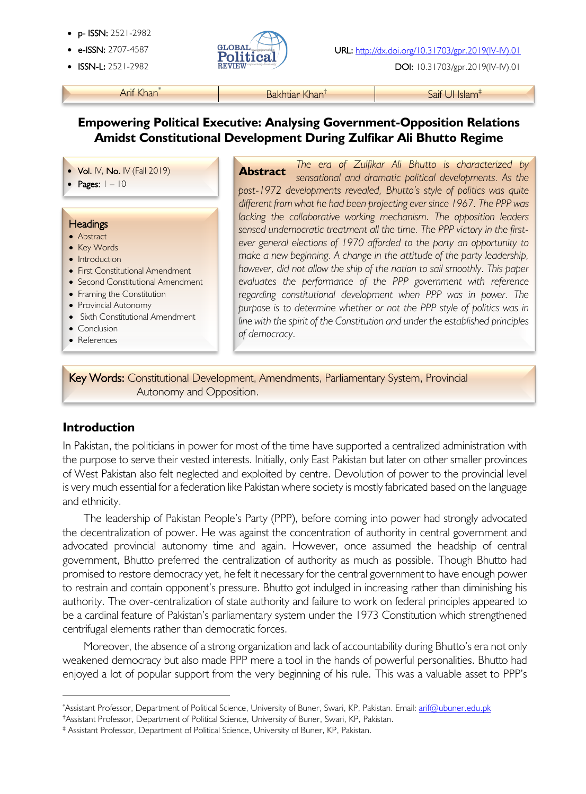- p- ISSN: 2521-2982
- 
- 



**ISSN-L:** 2521-2982 **REVIEW REVIEW DOI: 10.31703/gpr.2019(IV-IV).01** 

Arif Khan<sup>\*</sup> Saif Ul Islam<sup>‡</sup> Bakhtiar Khan<sup>†</sup> Saif Ul Islam<sup>‡</sup>

#### **Empowering Political Executive: Analysing Government-Opposition Relations Amidst Constitutional Development During Zulfikar Ali Bhutto Regime**

- Vol. IV, No. IV (Fall 2019)
- Pages: 1 10

#### **Headings**

į

- Abstract
- Key Words
- Introduction
- First Constitutional Amendment
- Second Constitutional Amendment
- Framing the Constitution
- Provincial Autonomy
- Sixth Constitutional Amendment
- Conclusion
- References

í

i

*The era of Zulfikar Ali Bhutto is characterized by sensational and dramatic political developments. As the post-1972 developments revealed, Bhutto's style of politics was quite different from what he had been projecting ever since 1967. The PPP was lacking the collaborative working mechanism. The opposition leaders sensed undemocratic treatment all the time. The PPP victory in the firstever general elections of 1970 afforded to the party an opportunity to make a new beginning. A change in the attitude of the party leadership, however, did not allow the ship of the nation to sail smoothly. This paper evaluates the performance of the PPP government with reference regarding constitutional development when PPP was in power. The purpose is to determine whether or not the PPP style of politics was in line with the spirit of the Constitution and under the established principles of democracy.* **Abstract**

Key Words: Constitutional Development, Amendments, Parliamentary System, Provincial Autonomy and Opposition.

#### **Introduction**

In Pakistan, the politicians in power for most of the time have supported a centralized administration with the purpose to serve their vested interests. Initially, only East Pakistan but later on other smaller provinces of West Pakistan also felt neglected and exploited by centre. Devolution of power to the provincial level is very much essential for a federation like Pakistan where society is mostly fabricated based on the language and ethnicity.

The leadership of Pakistan People's Party (PPP), before coming into power had strongly advocated the decentralization of power. He was against the concentration of authority in central government and advocated provincial autonomy time and again. However, once assumed the headship of central government, Bhutto preferred the centralization of authority as much as possible. Though Bhutto had promised to restore democracy yet, he felt it necessary for the central government to have enough power to restrain and contain opponent's pressure. Bhutto got indulged in increasing rather than diminishing his authority. The over-centralization of state authority and failure to work on federal principles appeared to be a cardinal feature of Pakistan's parliamentary system under the 1973 Constitution which strengthened centrifugal elements rather than democratic forces.

Moreover, the absence of a strong organization and lack of accountability during Bhutto's era not only weakened democracy but also made PPP mere a tool in the hands of powerful personalities. Bhutto had enjoyed a lot of popular support from the very beginning of his rule. This was a valuable asset to PPP's

<sup>\*</sup> Assistant Professor, Department of Political Science, University of Buner, Swari, KP, Pakistan. Email: arif@ubuner.edu.pk

<sup>†</sup>Assistant Professor, Department of Political Science, University of Buner, Swari, KP, Pakistan.

<sup>‡</sup> Assistant Professor, Department of Political Science, University of Buner, KP, Pakistan.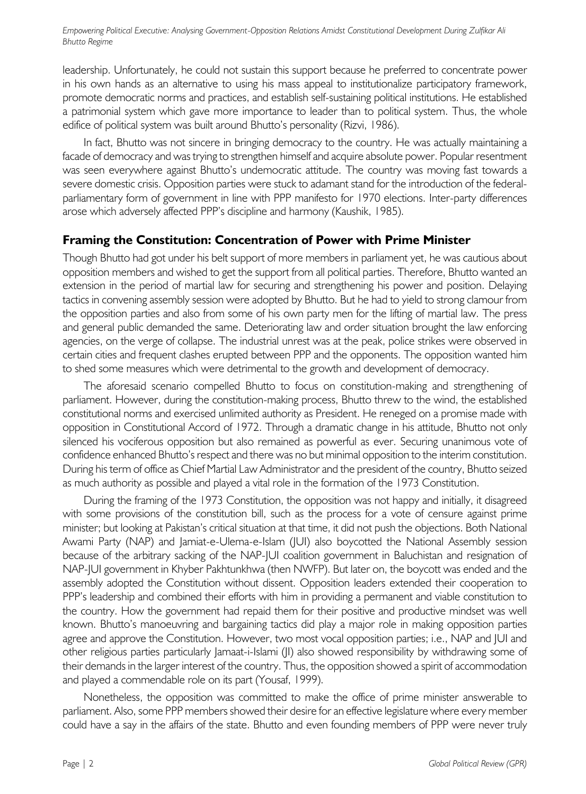leadership. Unfortunately, he could not sustain this support because he preferred to concentrate power in his own hands as an alternative to using his mass appeal to institutionalize participatory framework, promote democratic norms and practices, and establish self-sustaining political institutions. He established a patrimonial system which gave more importance to leader than to political system. Thus, the whole edifice of political system was built around Bhutto's personality (Rizvi, 1986).

In fact, Bhutto was not sincere in bringing democracy to the country. He was actually maintaining a facade of democracy and was trying to strengthen himself and acquire absolute power. Popular resentment was seen everywhere against Bhutto's undemocratic attitude. The country was moving fast towards a severe domestic crisis. Opposition parties were stuck to adamant stand for the introduction of the federalparliamentary form of government in line with PPP manifesto for 1970 elections. Inter-party differences arose which adversely affected PPP's discipline and harmony (Kaushik, 1985).

#### **Framing the Constitution: Concentration of Power with Prime Minister**

Though Bhutto had got under his belt support of more members in parliament yet, he was cautious about opposition members and wished to get the support from all political parties. Therefore, Bhutto wanted an extension in the period of martial law for securing and strengthening his power and position. Delaying tactics in convening assembly session were adopted by Bhutto. But he had to yield to strong clamour from the opposition parties and also from some of his own party men for the lifting of martial law. The press and general public demanded the same. Deteriorating law and order situation brought the law enforcing agencies, on the verge of collapse. The industrial unrest was at the peak, police strikes were observed in certain cities and frequent clashes erupted between PPP and the opponents. The opposition wanted him to shed some measures which were detrimental to the growth and development of democracy.

The aforesaid scenario compelled Bhutto to focus on constitution-making and strengthening of parliament. However, during the constitution-making process, Bhutto threw to the wind, the established constitutional norms and exercised unlimited authority as President. He reneged on a promise made with opposition in Constitutional Accord of 1972. Through a dramatic change in his attitude, Bhutto not only silenced his vociferous opposition but also remained as powerful as ever. Securing unanimous vote of confidence enhanced Bhutto's respect and there was no but minimal opposition to the interim constitution. During his term of office as Chief Martial Law Administrator and the president of the country, Bhutto seized as much authority as possible and played a vital role in the formation of the 1973 Constitution.

During the framing of the 1973 Constitution, the opposition was not happy and initially, it disagreed with some provisions of the constitution bill, such as the process for a vote of censure against prime minister; but looking at Pakistan's critical situation at that time, it did not push the objections. Both National Awami Party (NAP) and Jamiat-e-Ulema-e-Islam (JUI) also boycotted the National Assembly session because of the arbitrary sacking of the NAP-JUI coalition government in Baluchistan and resignation of NAP-JUI government in Khyber Pakhtunkhwa (then NWFP). But later on, the boycott was ended and the assembly adopted the Constitution without dissent. Opposition leaders extended their cooperation to PPP's leadership and combined their efforts with him in providing a permanent and viable constitution to the country. How the government had repaid them for their positive and productive mindset was well known. Bhutto's manoeuvring and bargaining tactics did play a major role in making opposition parties agree and approve the Constitution. However, two most vocal opposition parties; i.e., NAP and JUI and other religious parties particularly Jamaat-i-Islami (JI) also showed responsibility by withdrawing some of their demands in the larger interest of the country. Thus, the opposition showed a spirit of accommodation and played a commendable role on its part (Yousaf, 1999).

Nonetheless, the opposition was committed to make the office of prime minister answerable to parliament. Also, some PPP members showed their desire for an effective legislature where every member could have a say in the affairs of the state. Bhutto and even founding members of PPP were never truly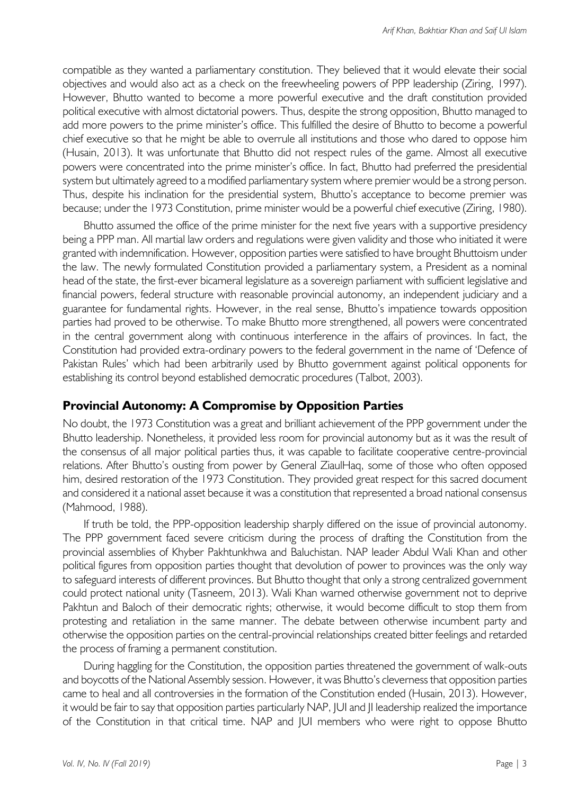compatible as they wanted a parliamentary constitution. They believed that it would elevate their social objectives and would also act as a check on the freewheeling powers of PPP leadership (Ziring, 1997). However, Bhutto wanted to become a more powerful executive and the draft constitution provided political executive with almost dictatorial powers. Thus, despite the strong opposition, Bhutto managed to add more powers to the prime minister's office. This fulfilled the desire of Bhutto to become a powerful chief executive so that he might be able to overrule all institutions and those who dared to oppose him (Husain, 2013). It was unfortunate that Bhutto did not respect rules of the game. Almost all executive powers were concentrated into the prime minister's office. In fact, Bhutto had preferred the presidential system but ultimately agreed to a modified parliamentary system where premier would be a strong person. Thus, despite his inclination for the presidential system, Bhutto's acceptance to become premier was because; under the 1973 Constitution, prime minister would be a powerful chief executive (Ziring, 1980).

Bhutto assumed the office of the prime minister for the next five years with a supportive presidency being a PPP man. All martial law orders and regulations were given validity and those who initiated it were granted with indemnification. However, opposition parties were satisfied to have brought Bhuttoism under the law. The newly formulated Constitution provided a parliamentary system, a President as a nominal head of the state, the first-ever bicameral legislature as a sovereign parliament with sufficient legislative and financial powers, federal structure with reasonable provincial autonomy, an independent judiciary and a guarantee for fundamental rights. However, in the real sense, Bhutto's impatience towards opposition parties had proved to be otherwise. To make Bhutto more strengthened, all powers were concentrated in the central government along with continuous interference in the affairs of provinces. In fact, the Constitution had provided extra-ordinary powers to the federal government in the name of 'Defence of Pakistan Rules' which had been arbitrarily used by Bhutto government against political opponents for establishing its control beyond established democratic procedures (Talbot, 2003).

#### **Provincial Autonomy: A Compromise by Opposition Parties**

No doubt, the 1973 Constitution was a great and brilliant achievement of the PPP government under the Bhutto leadership. Nonetheless, it provided less room for provincial autonomy but as it was the result of the consensus of all major political parties thus, it was capable to facilitate cooperative centre-provincial relations. After Bhutto's ousting from power by General ZiaulHaq, some of those who often opposed him, desired restoration of the 1973 Constitution. They provided great respect for this sacred document and considered it a national asset because it was a constitution that represented a broad national consensus (Mahmood, 1988).

If truth be told, the PPP-opposition leadership sharply differed on the issue of provincial autonomy. The PPP government faced severe criticism during the process of drafting the Constitution from the provincial assemblies of Khyber Pakhtunkhwa and Baluchistan. NAP leader Abdul Wali Khan and other political figures from opposition parties thought that devolution of power to provinces was the only way to safeguard interests of different provinces. But Bhutto thought that only a strong centralized government could protect national unity (Tasneem, 2013). Wali Khan warned otherwise government not to deprive Pakhtun and Baloch of their democratic rights; otherwise, it would become difficult to stop them from protesting and retaliation in the same manner. The debate between otherwise incumbent party and otherwise the opposition parties on the central-provincial relationships created bitter feelings and retarded the process of framing a permanent constitution.

During haggling for the Constitution, the opposition parties threatened the government of walk-outs and boycotts of the National Assembly session. However, it was Bhutto's cleverness that opposition parties came to heal and all controversies in the formation of the Constitution ended (Husain, 2013). However, it would be fair to say that opposition parties particularly NAP, JUI and JI leadership realized the importance of the Constitution in that critical time. NAP and JUI members who were right to oppose Bhutto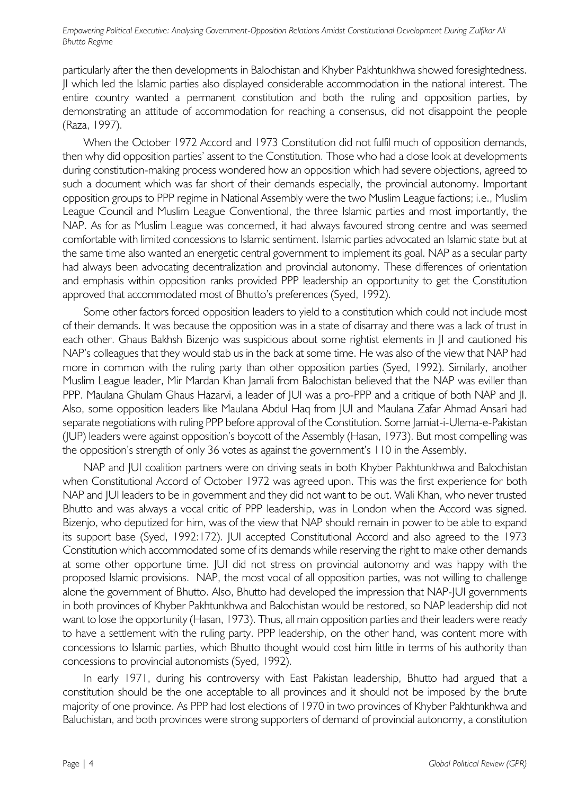particularly after the then developments in Balochistan and Khyber Pakhtunkhwa showed foresightedness. JI which led the Islamic parties also displayed considerable accommodation in the national interest. The entire country wanted a permanent constitution and both the ruling and opposition parties, by demonstrating an attitude of accommodation for reaching a consensus, did not disappoint the people (Raza, 1997).

When the October 1972 Accord and 1973 Constitution did not fulfil much of opposition demands, then why did opposition parties' assent to the Constitution. Those who had a close look at developments during constitution-making process wondered how an opposition which had severe objections, agreed to such a document which was far short of their demands especially, the provincial autonomy. Important opposition groups to PPP regime in National Assembly were the two Muslim League factions; i.e., Muslim League Council and Muslim League Conventional, the three Islamic parties and most importantly, the NAP. As for as Muslim League was concerned, it had always favoured strong centre and was seemed comfortable with limited concessions to Islamic sentiment. Islamic parties advocated an Islamic state but at the same time also wanted an energetic central government to implement its goal. NAP as a secular party had always been advocating decentralization and provincial autonomy. These differences of orientation and emphasis within opposition ranks provided PPP leadership an opportunity to get the Constitution approved that accommodated most of Bhutto's preferences (Syed, 1992).

Some other factors forced opposition leaders to yield to a constitution which could not include most of their demands. It was because the opposition was in a state of disarray and there was a lack of trust in each other. Ghaus Bakhsh Bizenjo was suspicious about some rightist elements in JI and cautioned his NAP's colleagues that they would stab us in the back at some time. He was also of the view that NAP had more in common with the ruling party than other opposition parties (Syed, 1992). Similarly, another Muslim League leader, Mir Mardan Khan Jamali from Balochistan believed that the NAP was eviller than PPP. Maulana Ghulam Ghaus Hazarvi, a leader of JUI was a pro-PPP and a critique of both NAP and JI. Also, some opposition leaders like Maulana Abdul Haq from JUI and Maulana Zafar Ahmad Ansari had separate negotiations with ruling PPP before approval of the Constitution. Some Jamiat-i-Ulema-e-Pakistan (JUP) leaders were against opposition's boycott of the Assembly (Hasan, 1973). But most compelling was the opposition's strength of only 36 votes as against the government's 110 in the Assembly.

NAP and JUI coalition partners were on driving seats in both Khyber Pakhtunkhwa and Balochistan when Constitutional Accord of October 1972 was agreed upon. This was the first experience for both NAP and JUI leaders to be in government and they did not want to be out. Wali Khan, who never trusted Bhutto and was always a vocal critic of PPP leadership, was in London when the Accord was signed. Bizenjo, who deputized for him, was of the view that NAP should remain in power to be able to expand its support base (Syed, 1992:172). JUI accepted Constitutional Accord and also agreed to the 1973 Constitution which accommodated some of its demands while reserving the right to make other demands at some other opportune time. JUI did not stress on provincial autonomy and was happy with the proposed Islamic provisions. NAP, the most vocal of all opposition parties, was not willing to challenge alone the government of Bhutto. Also, Bhutto had developed the impression that NAP-JUI governments in both provinces of Khyber Pakhtunkhwa and Balochistan would be restored, so NAP leadership did not want to lose the opportunity (Hasan, 1973). Thus, all main opposition parties and their leaders were ready to have a settlement with the ruling party. PPP leadership, on the other hand, was content more with concessions to Islamic parties, which Bhutto thought would cost him little in terms of his authority than concessions to provincial autonomists (Syed, 1992).

In early 1971, during his controversy with East Pakistan leadership, Bhutto had argued that a constitution should be the one acceptable to all provinces and it should not be imposed by the brute majority of one province. As PPP had lost elections of 1970 in two provinces of Khyber Pakhtunkhwa and Baluchistan, and both provinces were strong supporters of demand of provincial autonomy, a constitution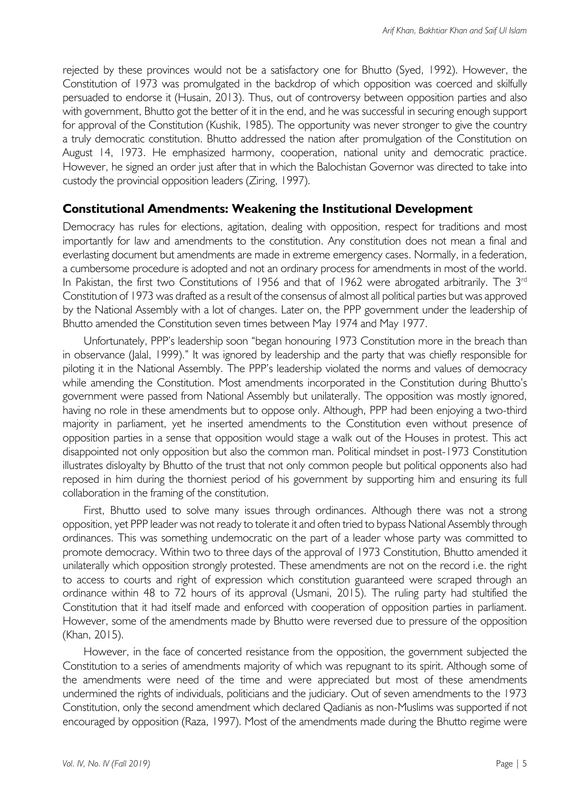rejected by these provinces would not be a satisfactory one for Bhutto (Syed, 1992). However, the Constitution of 1973 was promulgated in the backdrop of which opposition was coerced and skilfully persuaded to endorse it (Husain, 2013). Thus, out of controversy between opposition parties and also with government, Bhutto got the better of it in the end, and he was successful in securing enough support for approval of the Constitution (Kushik, 1985). The opportunity was never stronger to give the country a truly democratic constitution. Bhutto addressed the nation after promulgation of the Constitution on August 14, 1973. He emphasized harmony, cooperation, national unity and democratic practice. However, he signed an order just after that in which the Balochistan Governor was directed to take into custody the provincial opposition leaders (Ziring, 1997).

#### **Constitutional Amendments: Weakening the Institutional Development**

Democracy has rules for elections, agitation, dealing with opposition, respect for traditions and most importantly for law and amendments to the constitution. Any constitution does not mean a final and everlasting document but amendments are made in extreme emergency cases. Normally, in a federation, a cumbersome procedure is adopted and not an ordinary process for amendments in most of the world. In Pakistan, the first two Constitutions of 1956 and that of 1962 were abrogated arbitrarily. The 3<sup>rd</sup> Constitution of 1973 was drafted as a result of the consensus of almost all political parties but was approved by the National Assembly with a lot of changes. Later on, the PPP government under the leadership of Bhutto amended the Constitution seven times between May 1974 and May 1977.

Unfortunately, PPP's leadership soon "began honouring 1973 Constitution more in the breach than in observance (Jalal, 1999)." It was ignored by leadership and the party that was chiefly responsible for piloting it in the National Assembly. The PPP's leadership violated the norms and values of democracy while amending the Constitution. Most amendments incorporated in the Constitution during Bhutto's government were passed from National Assembly but unilaterally. The opposition was mostly ignored, having no role in these amendments but to oppose only. Although, PPP had been enjoying a two-third majority in parliament, yet he inserted amendments to the Constitution even without presence of opposition parties in a sense that opposition would stage a walk out of the Houses in protest. This act disappointed not only opposition but also the common man. Political mindset in post-1973 Constitution illustrates disloyalty by Bhutto of the trust that not only common people but political opponents also had reposed in him during the thorniest period of his government by supporting him and ensuring its full collaboration in the framing of the constitution.

First, Bhutto used to solve many issues through ordinances. Although there was not a strong opposition, yet PPP leader was not ready to tolerate it and often tried to bypass National Assembly through ordinances. This was something undemocratic on the part of a leader whose party was committed to promote democracy. Within two to three days of the approval of 1973 Constitution, Bhutto amended it unilaterally which opposition strongly protested. These amendments are not on the record i.e. the right to access to courts and right of expression which constitution guaranteed were scraped through an ordinance within 48 to 72 hours of its approval (Usmani, 2015). The ruling party had stultified the Constitution that it had itself made and enforced with cooperation of opposition parties in parliament. However, some of the amendments made by Bhutto were reversed due to pressure of the opposition (Khan, 2015).

However, in the face of concerted resistance from the opposition, the government subjected the Constitution to a series of amendments majority of which was repugnant to its spirit. Although some of the amendments were need of the time and were appreciated but most of these amendments undermined the rights of individuals, politicians and the judiciary. Out of seven amendments to the 1973 Constitution, only the second amendment which declared Qadianis as non-Muslims was supported if not encouraged by opposition (Raza, 1997). Most of the amendments made during the Bhutto regime were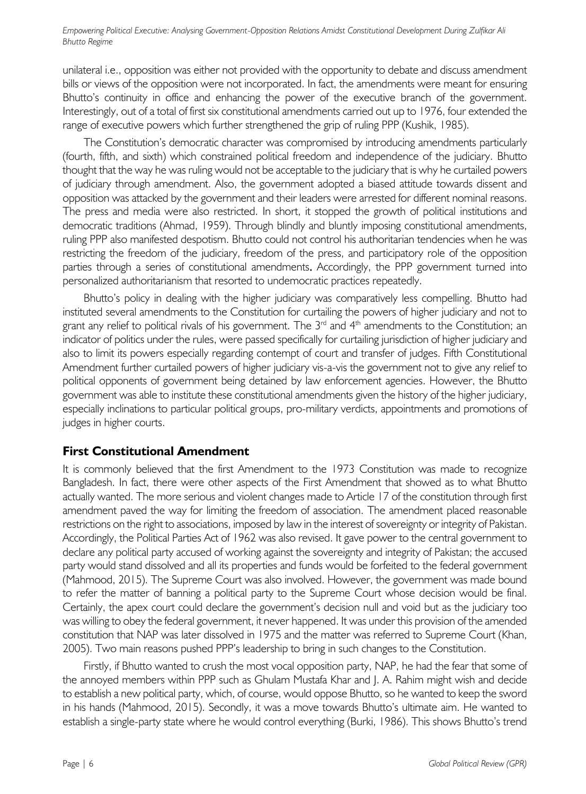unilateral i.e., opposition was either not provided with the opportunity to debate and discuss amendment bills or views of the opposition were not incorporated. In fact, the amendments were meant for ensuring Bhutto's continuity in office and enhancing the power of the executive branch of the government. Interestingly, out of a total of first six constitutional amendments carried out up to 1976, four extended the range of executive powers which further strengthened the grip of ruling PPP (Kushik, 1985).

The Constitution's democratic character was compromised by introducing amendments particularly (fourth, fifth, and sixth) which constrained political freedom and independence of the judiciary. Bhutto thought that the way he was ruling would not be acceptable to the judiciary that is why he curtailed powers of judiciary through amendment. Also, the government adopted a biased attitude towards dissent and opposition was attacked by the government and their leaders were arrested for different nominal reasons. The press and media were also restricted. In short, it stopped the growth of political institutions and democratic traditions (Ahmad, 1959). Through blindly and bluntly imposing constitutional amendments, ruling PPP also manifested despotism. Bhutto could not control his authoritarian tendencies when he was restricting the freedom of the judiciary, freedom of the press, and participatory role of the opposition parties through a series of constitutional amendments. Accordingly, the PPP government turned into personalized authoritarianism that resorted to undemocratic practices repeatedly.

Bhutto's policy in dealing with the higher judiciary was comparatively less compelling. Bhutto had instituted several amendments to the Constitution for curtailing the powers of higher judiciary and not to grant any relief to political rivals of his government. The  $3<sup>rd</sup>$  and  $4<sup>th</sup>$  amendments to the Constitution; an indicator of politics under the rules, were passed specifically for curtailing jurisdiction of higher judiciary and also to limit its powers especially regarding contempt of court and transfer of judges. Fifth Constitutional Amendment further curtailed powers of higher judiciary vis-a-vis the government not to give any relief to political opponents of government being detained by law enforcement agencies. However, the Bhutto government was able to institute these constitutional amendments given the history of the higher judiciary, especially inclinations to particular political groups, pro-military verdicts, appointments and promotions of judges in higher courts.

#### **First Constitutional Amendment**

It is commonly believed that the first Amendment to the 1973 Constitution was made to recognize Bangladesh. In fact, there were other aspects of the First Amendment that showed as to what Bhutto actually wanted. The more serious and violent changes made to Article 17 of the constitution through first amendment paved the way for limiting the freedom of association. The amendment placed reasonable restrictions on the right to associations, imposed by law in the interest of sovereignty or integrity of Pakistan. Accordingly, the Political Parties Act of 1962 was also revised. It gave power to the central government to declare any political party accused of working against the sovereignty and integrity of Pakistan; the accused party would stand dissolved and all its properties and funds would be forfeited to the federal government (Mahmood, 2015). The Supreme Court was also involved. However, the government was made bound to refer the matter of banning a political party to the Supreme Court whose decision would be final. Certainly, the apex court could declare the government's decision null and void but as the judiciary too was willing to obey the federal government, it never happened. It was under this provision of the amended constitution that NAP was later dissolved in 1975 and the matter was referred to Supreme Court (Khan, 2005). Two main reasons pushed PPP's leadership to bring in such changes to the Constitution.

Firstly, if Bhutto wanted to crush the most vocal opposition party, NAP, he had the fear that some of the annoyed members within PPP such as Ghulam Mustafa Khar and J. A. Rahim might wish and decide to establish a new political party, which, of course, would oppose Bhutto, so he wanted to keep the sword in his hands (Mahmood, 2015). Secondly, it was a move towards Bhutto's ultimate aim. He wanted to establish a single-party state where he would control everything (Burki, 1986). This shows Bhutto's trend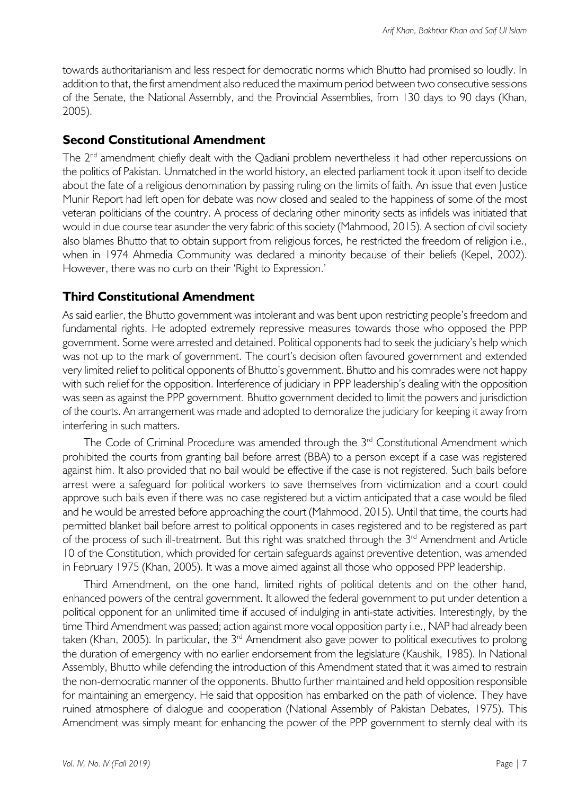towards authoritarianism and less respect for democratic norms which Bhutto had promised so loudly. In addition to that, the first amendment also reduced the maximum period between two consecutive sessions of the Senate, the National Assembly, and the Provincial Assemblies, from 130 days to 90 days (Khan, 2005).

# **Second Constitutional Amendment**

The  $2<sup>nd</sup>$  amendment chiefly dealt with the Qadiani problem nevertheless it had other repercussions on the politics of Pakistan. Unmatched in the world history, an elected parliament took it upon itself to decide about the fate of a religious denomination by passing ruling on the limits of faith. An issue that even Justice Munir Report had left open for debate was now closed and sealed to the happiness of some of the most veteran politicians of the country. A process of declaring other minority sects as infidels was initiated that would in due course tear asunder the very fabric of this society (Mahmood, 2015). A section of civil society also blames Bhutto that to obtain support from religious forces, he restricted the freedom of religion i.e., when in 1974 Ahmedia Community was declared a minority because of their beliefs (Kepel, 2002). However, there was no curb on their 'Right to Expression.'

# **Third Constitutional Amendment**

As said earlier, the Bhutto government was intolerant and was bent upon restricting people's freedom and fundamental rights. He adopted extremely repressive measures towards those who opposed the PPP government. Some were arrested and detained. Political opponents had to seek the judiciary's help which was not up to the mark of government. The court's decision often favoured government and extended very limited relief to political opponents of Bhutto's government. Bhutto and his comrades were not happy with such relief for the opposition. Interference of judiciary in PPP leadership's dealing with the opposition was seen as against the PPP government. Bhutto government decided to limit the powers and jurisdiction of the courts. An arrangement was made and adopted to demoralize the judiciary for keeping it away from interfering in such matters.

The Code of Criminal Procedure was amended through the 3<sup>rd</sup> Constitutional Amendment which prohibited the courts from granting bail before arrest (BBA) to a person except if a case was registered against him. It also provided that no bail would be effective if the case is not registered. Such bails before arrest were a safeguard for political workers to save themselves from victimization and a court could approve such bails even if there was no case registered but a victim anticipated that a case would be filed and he would be arrested before approaching the court (Mahmood, 2015). Until that time, the courts had permitted blanket bail before arrest to political opponents in cases registered and to be registered as part of the process of such ill-treatment. But this right was snatched through the  $3<sup>rd</sup>$  Amendment and Article 10 of the Constitution, which provided for certain safeguards against preventive detention, was amended in February 1975 (Khan, 2005). It was a move aimed against all those who opposed PPP leadership.

Third Amendment, on the one hand, limited rights of political detents and on the other hand, enhanced powers of the central government. It allowed the federal government to put under detention a political opponent for an unlimited time if accused of indulging in anti-state activities. Interestingly, by the time Third Amendment was passed; action against more vocal opposition party i.e., NAP had already been taken (Khan, 2005). In particular, the 3<sup>rd</sup> Amendment also gave power to political executives to prolong the duration of emergency with no earlier endorsement from the legislature (Kaushik, 1985). In National Assembly, Bhutto while defending the introduction of this Amendment stated that it was aimed to restrain the non-democratic manner of the opponents. Bhutto further maintained and held opposition responsible for maintaining an emergency. He said that opposition has embarked on the path of violence. They have ruined atmosphere of dialogue and cooperation (National Assembly of Pakistan Debates, 1975). This Amendment was simply meant for enhancing the power of the PPP government to sternly deal with its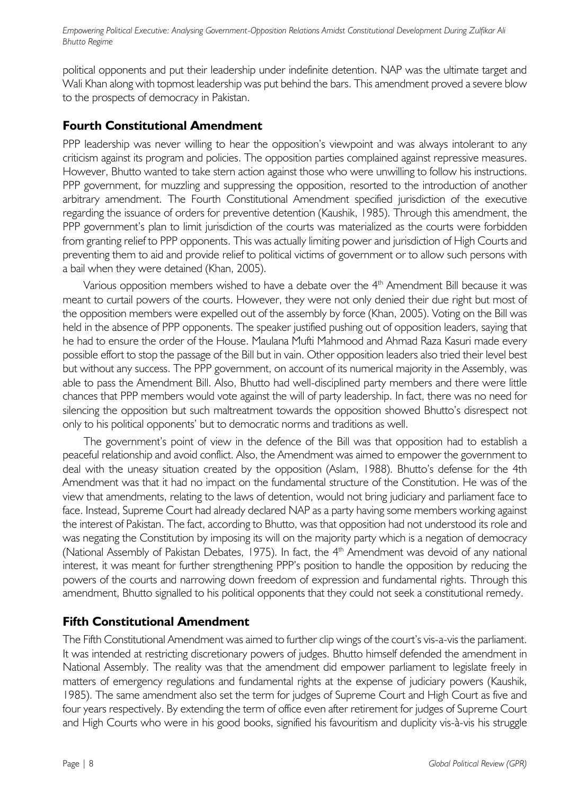political opponents and put their leadership under indefinite detention. NAP was the ultimate target and Wali Khan along with topmost leadership was put behind the bars. This amendment proved a severe blow to the prospects of democracy in Pakistan.

# **Fourth Constitutional Amendment**

PPP leadership was never willing to hear the opposition's viewpoint and was always intolerant to any criticism against its program and policies. The opposition parties complained against repressive measures. However, Bhutto wanted to take stern action against those who were unwilling to follow his instructions. PPP government, for muzzling and suppressing the opposition, resorted to the introduction of another arbitrary amendment. The Fourth Constitutional Amendment specified jurisdiction of the executive regarding the issuance of orders for preventive detention (Kaushik, 1985). Through this amendment, the PPP government's plan to limit jurisdiction of the courts was materialized as the courts were forbidden from granting relief to PPP opponents. This was actually limiting power and jurisdiction of High Courts and preventing them to aid and provide relief to political victims of government or to allow such persons with a bail when they were detained (Khan, 2005).

Various opposition members wished to have a debate over the  $4<sup>th</sup>$  Amendment Bill because it was meant to curtail powers of the courts. However, they were not only denied their due right but most of the opposition members were expelled out of the assembly by force (Khan, 2005). Voting on the Bill was held in the absence of PPP opponents. The speaker justified pushing out of opposition leaders, saying that he had to ensure the order of the House. Maulana Mufti Mahmood and Ahmad Raza Kasuri made every possible effort to stop the passage of the Bill but in vain. Other opposition leaders also tried their level best but without any success. The PPP government, on account of its numerical majority in the Assembly, was able to pass the Amendment Bill. Also, Bhutto had well-disciplined party members and there were little chances that PPP members would vote against the will of party leadership. In fact, there was no need for silencing the opposition but such maltreatment towards the opposition showed Bhutto's disrespect not only to his political opponents' but to democratic norms and traditions as well.

The government's point of view in the defence of the Bill was that opposition had to establish a peaceful relationship and avoid conflict. Also, the Amendment was aimed to empower the government to deal with the uneasy situation created by the opposition (Aslam, 1988). Bhutto's defense for the 4th Amendment was that it had no impact on the fundamental structure of the Constitution. He was of the view that amendments, relating to the laws of detention, would not bring judiciary and parliament face to face. Instead, Supreme Court had already declared NAP as a party having some members working against the interest of Pakistan. The fact, according to Bhutto, was that opposition had not understood its role and was negating the Constitution by imposing its will on the majority party which is a negation of democracy (National Assembly of Pakistan Debates, 1975). In fact, the 4th Amendment was devoid of any national interest, it was meant for further strengthening PPP's position to handle the opposition by reducing the powers of the courts and narrowing down freedom of expression and fundamental rights. Through this amendment, Bhutto signalled to his political opponents that they could not seek a constitutional remedy.

# **Fifth Constitutional Amendment**

The Fifth Constitutional Amendment was aimed to further clip wings of the court's vis-a-vis the parliament. It was intended at restricting discretionary powers of judges. Bhutto himself defended the amendment in National Assembly. The reality was that the amendment did empower parliament to legislate freely in matters of emergency regulations and fundamental rights at the expense of judiciary powers (Kaushik, 1985). The same amendment also set the term for judges of Supreme Court and High Court as five and four years respectively. By extending the term of office even after retirement for judges of Supreme Court and High Courts who were in his good books, signified his favouritism and duplicity vis-à-vis his struggle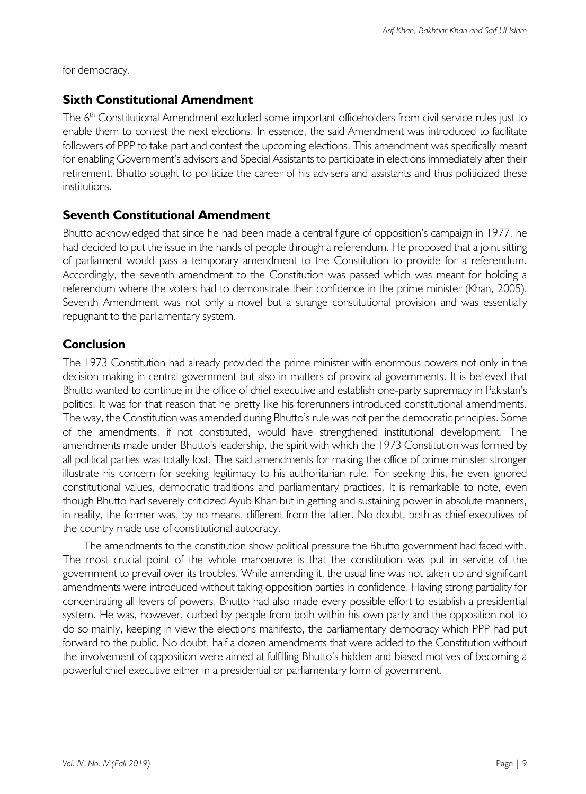for democracy.

# **Sixth Constitutional Amendment**

The 6<sup>th</sup> Constitutional Amendment excluded some important officeholders from civil service rules just to enable them to contest the next elections. In essence, the said Amendment was introduced to facilitate followers of PPP to take part and contest the upcoming elections. This amendment was specifically meant for enabling Government's advisors and Special Assistants to participate in elections immediately after their retirement. Bhutto sought to politicize the career of his advisers and assistants and thus politicized these institutions.

# **Seventh Constitutional Amendment**

Bhutto acknowledged that since he had been made a central figure of opposition's campaign in 1977, he had decided to put the issue in the hands of people through a referendum. He proposed that a joint sitting of parliament would pass a temporary amendment to the Constitution to provide for a referendum. Accordingly, the seventh amendment to the Constitution was passed which was meant for holding a referendum where the voters had to demonstrate their confidence in the prime minister (Khan, 2005). Seventh Amendment was not only a novel but a strange constitutional provision and was essentially repugnant to the parliamentary system.

# **Conclusion**

The 1973 Constitution had already provided the prime minister with enormous powers not only in the decision making in central government but also in matters of provincial governments. It is believed that Bhutto wanted to continue in the office of chief executive and establish one-party supremacy in Pakistan's politics. It was for that reason that he pretty like his forerunners introduced constitutional amendments. The way, the Constitution was amended during Bhutto's rule was not per the democratic principles. Some of the amendments, if not constituted, would have strengthened institutional development. The amendments made under Bhutto's leadership, the spirit with which the 1973 Constitution was formed by all political parties was totally lost. The said amendments for making the office of prime minister stronger illustrate his concern for seeking legitimacy to his authoritarian rule. For seeking this, he even ignored constitutional values, democratic traditions and parliamentary practices. It is remarkable to note, even though Bhutto had severely criticized Ayub Khan but in getting and sustaining power in absolute manners, in reality, the former was, by no means, different from the latter. No doubt, both as chief executives of the country made use of constitutional autocracy.

The amendments to the constitution show political pressure the Bhutto government had faced with. The most crucial point of the whole manoeuvre is that the constitution was put in service of the government to prevail over its troubles. While amending it, the usual line was not taken up and significant amendments were introduced without taking opposition parties in confidence. Having strong partiality for concentrating all levers of powers, Bhutto had also made every possible effort to establish a presidential system. He was, however, curbed by people from both within his own party and the opposition not to do so mainly, keeping in view the elections manifesto, the parliamentary democracy which PPP had put forward to the public. No doubt, half a dozen amendments that were added to the Constitution without the involvement of opposition were aimed at fulfilling Bhutto's hidden and biased motives of becoming a powerful chief executive either in a presidential or parliamentary form of government.